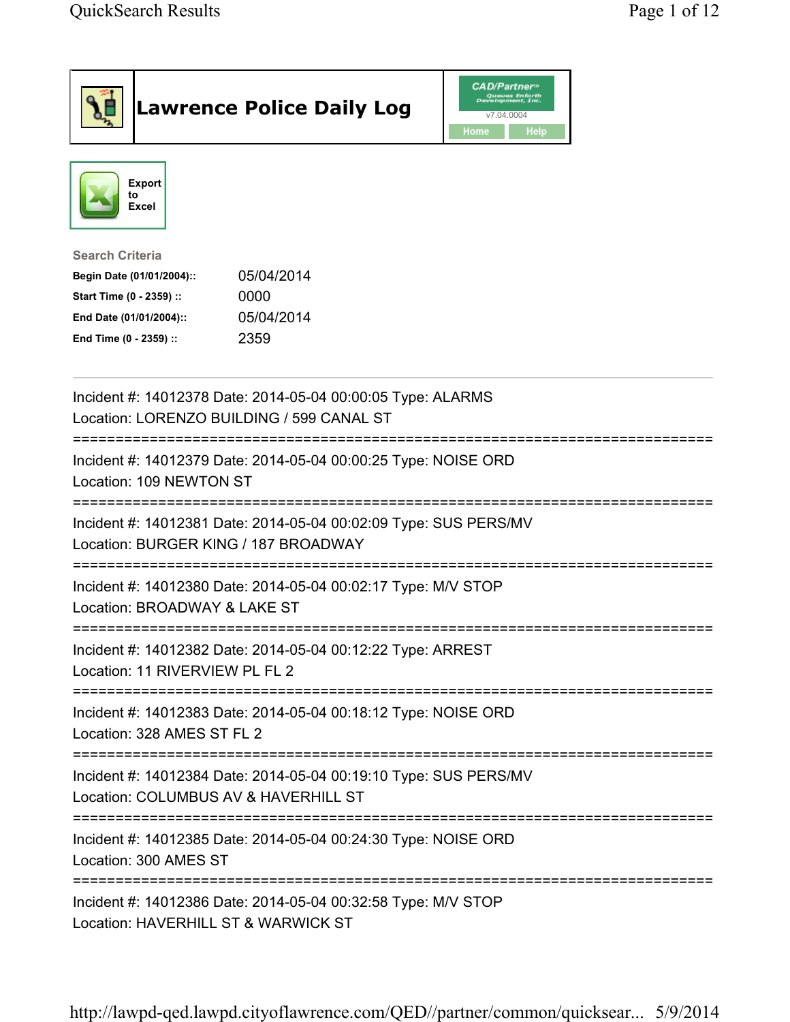| <b>Lawrence Police Daily Log</b>                                                                                                                                                 | <b>CAD/Partner</b> "<br>Queues Enforth<br>Development, Inc.<br>v7.04.0004<br>Home<br><b>Help</b> |
|----------------------------------------------------------------------------------------------------------------------------------------------------------------------------------|--------------------------------------------------------------------------------------------------|
| <b>Export</b><br>to<br>Excel                                                                                                                                                     |                                                                                                  |
| <b>Search Criteria</b><br>05/04/2014<br>Begin Date (01/01/2004)::<br>Start Time (0 - 2359) ::<br>0000<br>05/04/2014<br>End Date (01/01/2004)::<br>End Time (0 - 2359) ::<br>2359 |                                                                                                  |
| Incident #: 14012378 Date: 2014-05-04 00:00:05 Type: ALARMS<br>Location: LORENZO BUILDING / 599 CANAL ST                                                                         |                                                                                                  |
| Incident #: 14012379 Date: 2014-05-04 00:00:25 Type: NOISE ORD<br>Location: 109 NEWTON ST                                                                                        |                                                                                                  |
| Incident #: 14012381 Date: 2014-05-04 00:02:09 Type: SUS PERS/MV<br>Location: BURGER KING / 187 BROADWAY                                                                         |                                                                                                  |
| Incident #: 14012380 Date: 2014-05-04 00:02:17 Type: M/V STOP<br>Location: BROADWAY & LAKE ST                                                                                    |                                                                                                  |
| Incident #: 14012382 Date: 2014-05-04 00:12:22 Type: ARREST<br>Location: 11 RIVERVIEW PL FL 2                                                                                    |                                                                                                  |
| Incident #: 14012383 Date: 2014-05-04 00:18:12 Type: NOISE ORD<br>Location: 328 AMES ST FL 2                                                                                     |                                                                                                  |
| Incident #: 14012384 Date: 2014-05-04 00:19:10 Type: SUS PERS/MV<br>Location: COLUMBUS AV & HAVERHILL ST                                                                         |                                                                                                  |
| Incident #: 14012385 Date: 2014-05-04 00:24:30 Type: NOISE ORD<br>Location: 300 AMES ST                                                                                          |                                                                                                  |
| Incident #: 14012386 Date: 2014-05-04 00:32:58 Type: M/V STOP<br>Location: HAVERHILL ST & WARWICK ST                                                                             |                                                                                                  |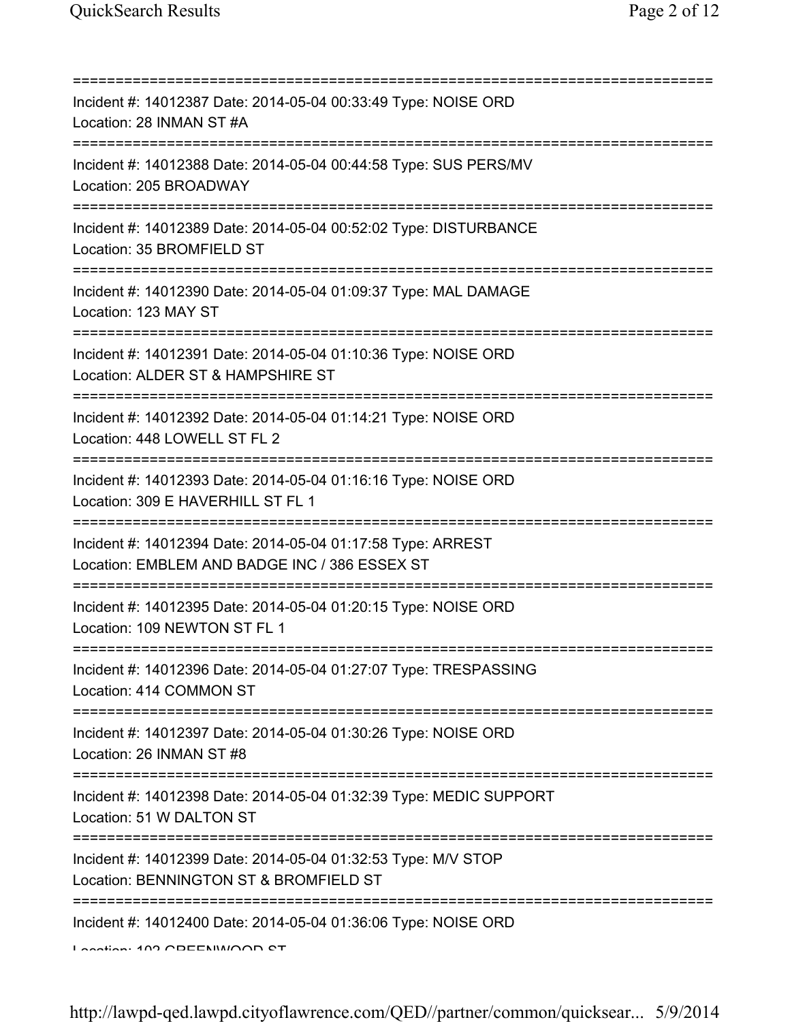| Incident #: 14012387 Date: 2014-05-04 00:33:49 Type: NOISE ORD<br>Location: 28 INMAN ST #A                                                                   |
|--------------------------------------------------------------------------------------------------------------------------------------------------------------|
| Incident #: 14012388 Date: 2014-05-04 00:44:58 Type: SUS PERS/MV<br>Location: 205 BROADWAY                                                                   |
| Incident #: 14012389 Date: 2014-05-04 00:52:02 Type: DISTURBANCE<br>Location: 35 BROMFIELD ST<br>===================                                         |
| Incident #: 14012390 Date: 2014-05-04 01:09:37 Type: MAL DAMAGE<br>Location: 123 MAY ST<br>====================================                              |
| Incident #: 14012391 Date: 2014-05-04 01:10:36 Type: NOISE ORD<br>Location: ALDER ST & HAMPSHIRE ST<br>==========================                            |
| Incident #: 14012392 Date: 2014-05-04 01:14:21 Type: NOISE ORD<br>Location: 448 LOWELL ST FL 2                                                               |
| Incident #: 14012393 Date: 2014-05-04 01:16:16 Type: NOISE ORD<br>Location: 309 E HAVERHILL ST FL 1<br>:===============                                      |
| Incident #: 14012394 Date: 2014-05-04 01:17:58 Type: ARREST<br>Location: EMBLEM AND BADGE INC / 386 ESSEX ST                                                 |
| Incident #: 14012395 Date: 2014-05-04 01:20:15 Type: NOISE ORD<br>Location: 109 NEWTON ST FL 1                                                               |
| Incident #: 14012396 Date: 2014-05-04 01:27:07 Type: TRESPASSING<br>Location: 414 COMMON ST                                                                  |
| Incident #: 14012397 Date: 2014-05-04 01:30:26 Type: NOISE ORD<br>Location: 26 INMAN ST #8                                                                   |
| =====================================<br>Incident #: 14012398 Date: 2014-05-04 01:32:39 Type: MEDIC SUPPORT<br>Location: 51 W DALTON ST                      |
| ===================================<br>Incident #: 14012399 Date: 2014-05-04 01:32:53 Type: M/V STOP<br>Location: BENNINGTON ST & BROMFIELD ST               |
| Incident #: 14012400 Date: 2014-05-04 01:36:06 Type: NOISE ORD<br>$\overline{a}$ and $\overline{a}$ and $\overline{a}$ and $\overline{a}$ and $\overline{a}$ |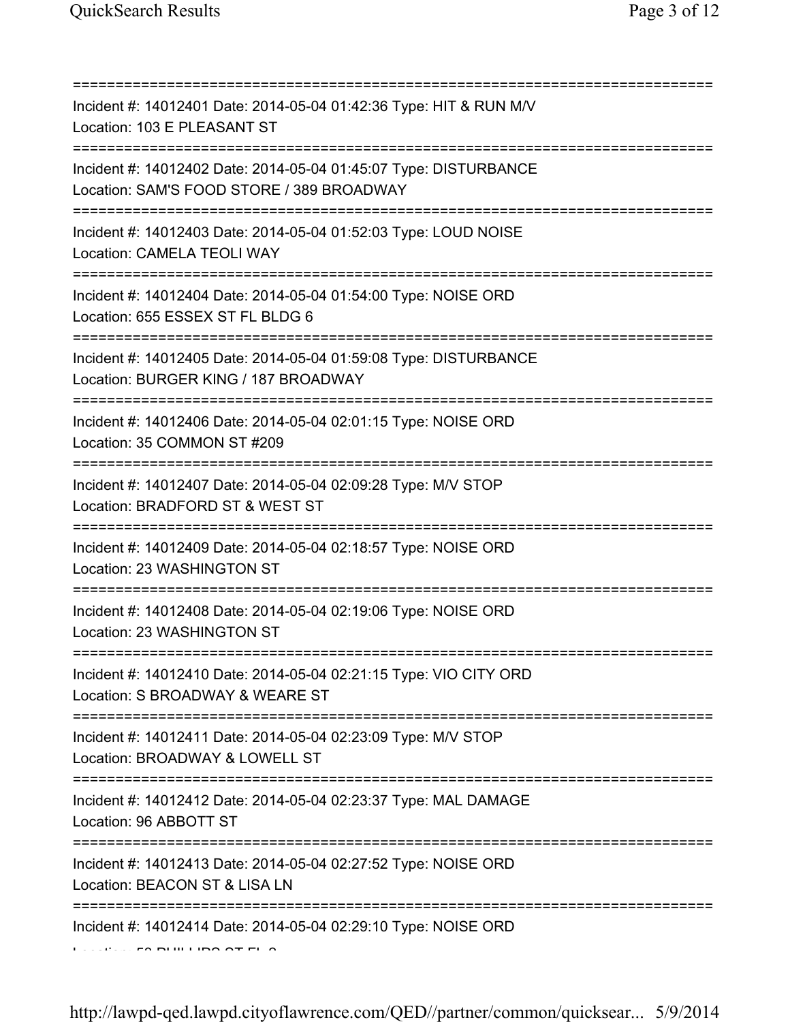| Incident #: 14012401 Date: 2014-05-04 01:42:36 Type: HIT & RUN M/V<br>Location: 103 E PLEASANT ST                                |
|----------------------------------------------------------------------------------------------------------------------------------|
| Incident #: 14012402 Date: 2014-05-04 01:45:07 Type: DISTURBANCE<br>Location: SAM'S FOOD STORE / 389 BROADWAY                    |
| Incident #: 14012403 Date: 2014-05-04 01:52:03 Type: LOUD NOISE<br>Location: CAMELA TEOLI WAY<br>=============================== |
| Incident #: 14012404 Date: 2014-05-04 01:54:00 Type: NOISE ORD<br>Location: 655 ESSEX ST FL BLDG 6                               |
| Incident #: 14012405 Date: 2014-05-04 01:59:08 Type: DISTURBANCE<br>Location: BURGER KING / 187 BROADWAY                         |
| Incident #: 14012406 Date: 2014-05-04 02:01:15 Type: NOISE ORD<br>Location: 35 COMMON ST #209                                    |
| Incident #: 14012407 Date: 2014-05-04 02:09:28 Type: M/V STOP<br>Location: BRADFORD ST & WEST ST                                 |
| Incident #: 14012409 Date: 2014-05-04 02:18:57 Type: NOISE ORD<br>Location: 23 WASHINGTON ST                                     |
| Incident #: 14012408 Date: 2014-05-04 02:19:06 Type: NOISE ORD<br>Location: 23 WASHINGTON ST                                     |
| Incident #: 14012410 Date: 2014-05-04 02:21:15 Type: VIO CITY ORD<br>Location: S BROADWAY & WEARE ST                             |
| Incident #: 14012411 Date: 2014-05-04 02:23:09 Type: M/V STOP<br>Location: BROADWAY & LOWELL ST                                  |
| Incident #: 14012412 Date: 2014-05-04 02:23:37 Type: MAL DAMAGE<br>Location: 96 ABBOTT ST                                        |
| :=========================<br>Incident #: 14012413 Date: 2014-05-04 02:27:52 Type: NOISE ORD<br>Location: BEACON ST & LISA LN    |
| Incident #: 14012414 Date: 2014-05-04 02:29:10 Type: NOISE ORD                                                                   |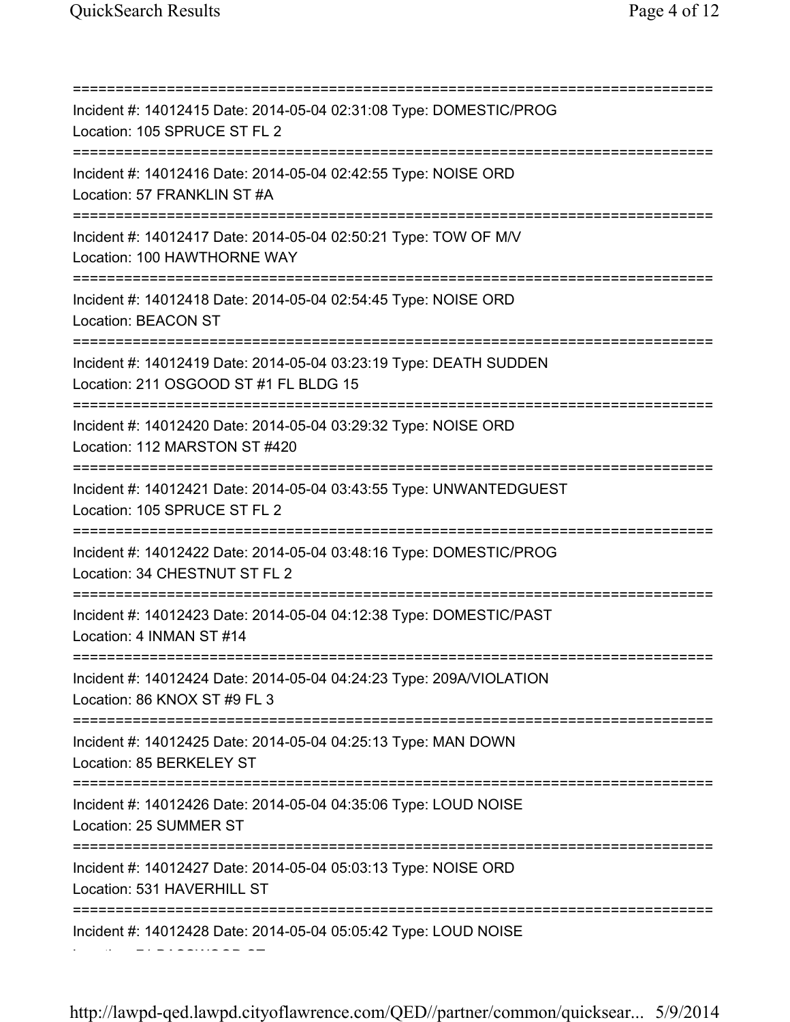Location: 71 BASSWOOD ST

=========================================================================== Incident #: 14012415 Date: 2014-05-04 02:31:08 Type: DOMESTIC/PROG Location: 105 SPRUCE ST FL 2 =========================================================================== Incident #: 14012416 Date: 2014-05-04 02:42:55 Type: NOISE ORD Location: 57 FRANKLIN ST #A =========================================================================== Incident #: 14012417 Date: 2014-05-04 02:50:21 Type: TOW OF M/V Location: 100 HAWTHORNE WAY =========================================================================== Incident #: 14012418 Date: 2014-05-04 02:54:45 Type: NOISE ORD Location: BEACON ST =========================================================================== Incident #: 14012419 Date: 2014-05-04 03:23:19 Type: DEATH SUDDEN Location: 211 OSGOOD ST #1 FL BLDG 15 =========================================================================== Incident #: 14012420 Date: 2014-05-04 03:29:32 Type: NOISE ORD Location: 112 MARSTON ST #420 =========================================================================== Incident #: 14012421 Date: 2014-05-04 03:43:55 Type: UNWANTEDGUEST Location: 105 SPRUCE ST FL 2 =========================================================================== Incident #: 14012422 Date: 2014-05-04 03:48:16 Type: DOMESTIC/PROG Location: 34 CHESTNUT ST FL 2 =========================================================================== Incident #: 14012423 Date: 2014-05-04 04:12:38 Type: DOMESTIC/PAST Location: 4 INMAN ST #14 =========================================================================== Incident #: 14012424 Date: 2014-05-04 04:24:23 Type: 209A/VIOLATION Location: 86 KNOX ST #9 FL 3 =========================================================================== Incident #: 14012425 Date: 2014-05-04 04:25:13 Type: MAN DOWN Location: 85 BERKELEY ST =========================================================================== Incident #: 14012426 Date: 2014-05-04 04:35:06 Type: LOUD NOISE Location: 25 SUMMER ST =========================================================================== Incident #: 14012427 Date: 2014-05-04 05:03:13 Type: NOISE ORD Location: 531 HAVERHILL ST =========================================================================== Incident #: 14012428 Date: 2014-05-04 05:05:42 Type: LOUD NOISE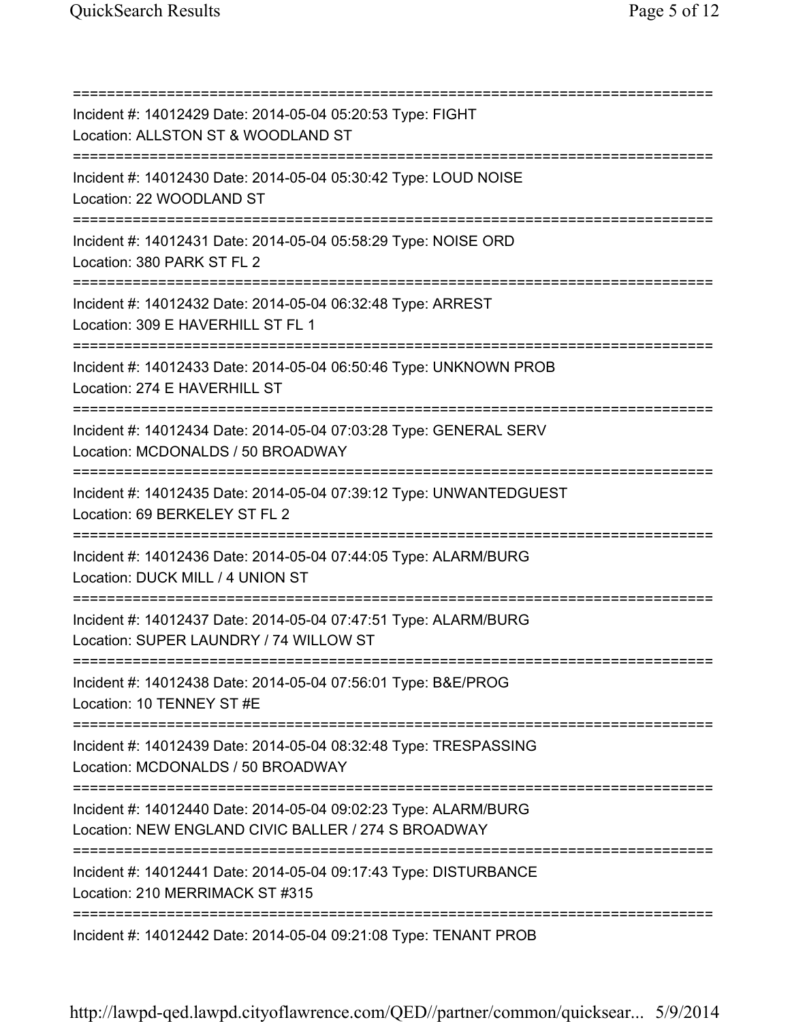=========================================================================== Incident #: 14012429 Date: 2014-05-04 05:20:53 Type: FIGHT Location: ALLSTON ST & WOODLAND ST =========================================================================== Incident #: 14012430 Date: 2014-05-04 05:30:42 Type: LOUD NOISE Location: 22 WOODLAND ST =========================================================================== Incident #: 14012431 Date: 2014-05-04 05:58:29 Type: NOISE ORD Location: 380 PARK ST FL 2 =========================================================================== Incident #: 14012432 Date: 2014-05-04 06:32:48 Type: ARREST Location: 309 E HAVERHILL ST FL 1 =========================================================================== Incident #: 14012433 Date: 2014-05-04 06:50:46 Type: UNKNOWN PROB Location: 274 E HAVERHILL ST =========================================================================== Incident #: 14012434 Date: 2014-05-04 07:03:28 Type: GENERAL SERV Location: MCDONALDS / 50 BROADWAY =========================================================================== Incident #: 14012435 Date: 2014-05-04 07:39:12 Type: UNWANTEDGUEST Location: 69 BERKELEY ST FL 2 =========================================================================== Incident #: 14012436 Date: 2014-05-04 07:44:05 Type: ALARM/BURG Location: DUCK MILL / 4 UNION ST =========================================================================== Incident #: 14012437 Date: 2014-05-04 07:47:51 Type: ALARM/BURG Location: SUPER LAUNDRY / 74 WILLOW ST =========================================================================== Incident #: 14012438 Date: 2014-05-04 07:56:01 Type: B&E/PROG Location: 10 TENNEY ST #E =========================================================================== Incident #: 14012439 Date: 2014-05-04 08:32:48 Type: TRESPASSING Location: MCDONALDS / 50 BROADWAY =========================================================================== Incident #: 14012440 Date: 2014-05-04 09:02:23 Type: ALARM/BURG Location: NEW ENGLAND CIVIC BALLER / 274 S BROADWAY =========================================================================== Incident #: 14012441 Date: 2014-05-04 09:17:43 Type: DISTURBANCE Location: 210 MERRIMACK ST #315 =========================================================================== Incident #: 14012442 Date: 2014-05-04 09:21:08 Type: TENANT PROB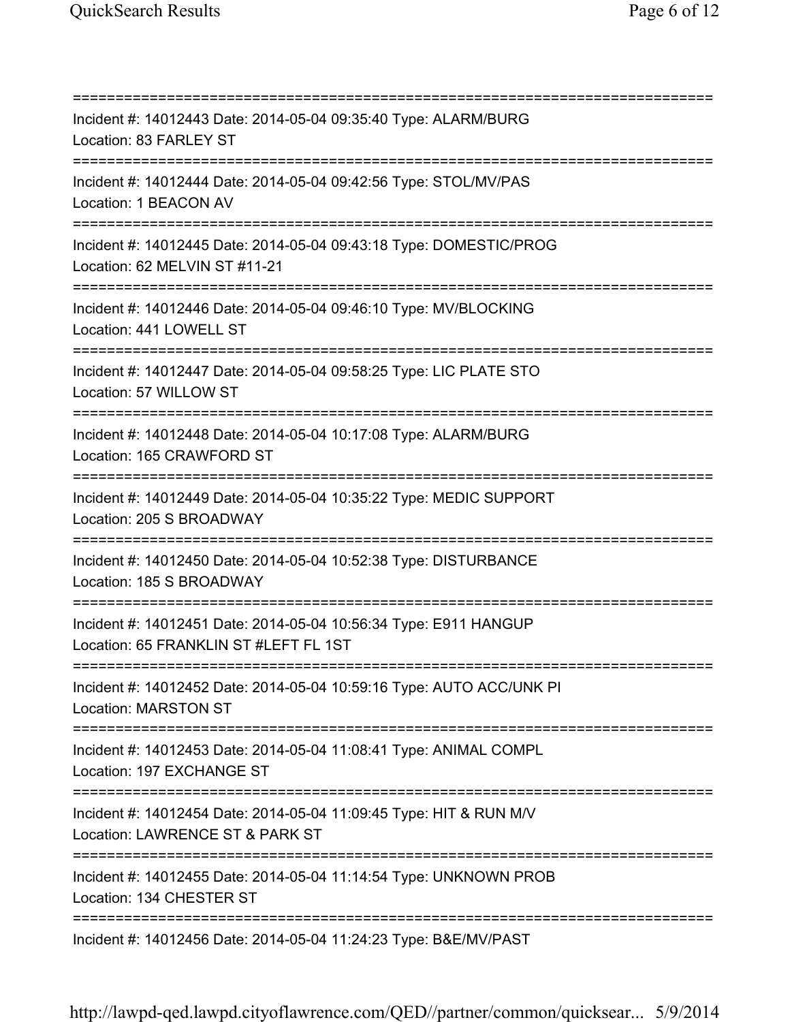=========================================================================== Incident #: 14012443 Date: 2014-05-04 09:35:40 Type: ALARM/BURG Location: 83 FARLEY ST =========================================================================== Incident #: 14012444 Date: 2014-05-04 09:42:56 Type: STOL/MV/PAS Location: 1 BEACON AV =========================================================================== Incident #: 14012445 Date: 2014-05-04 09:43:18 Type: DOMESTIC/PROG Location: 62 MELVIN ST #11-21 =========================================================================== Incident #: 14012446 Date: 2014-05-04 09:46:10 Type: MV/BLOCKING Location: 441 LOWELL ST =========================================================================== Incident #: 14012447 Date: 2014-05-04 09:58:25 Type: LIC PLATE STO Location: 57 WILLOW ST =========================================================================== Incident #: 14012448 Date: 2014-05-04 10:17:08 Type: ALARM/BURG Location: 165 CRAWFORD ST =========================================================================== Incident #: 14012449 Date: 2014-05-04 10:35:22 Type: MEDIC SUPPORT Location: 205 S BROADWAY =========================================================================== Incident #: 14012450 Date: 2014-05-04 10:52:38 Type: DISTURBANCE Location: 185 S BROADWAY =========================================================================== Incident #: 14012451 Date: 2014-05-04 10:56:34 Type: E911 HANGUP Location: 65 FRANKLIN ST #LEFT FL 1ST =========================================================================== Incident #: 14012452 Date: 2014-05-04 10:59:16 Type: AUTO ACC/UNK PI Location: MARSTON ST =========================================================================== Incident #: 14012453 Date: 2014-05-04 11:08:41 Type: ANIMAL COMPL Location: 197 EXCHANGE ST =========================================================================== Incident #: 14012454 Date: 2014-05-04 11:09:45 Type: HIT & RUN M/V Location: LAWRENCE ST & PARK ST =========================================================================== Incident #: 14012455 Date: 2014-05-04 11:14:54 Type: UNKNOWN PROB Location: 134 CHESTER ST =========================================================================== Incident #: 14012456 Date: 2014-05-04 11:24:23 Type: B&E/MV/PAST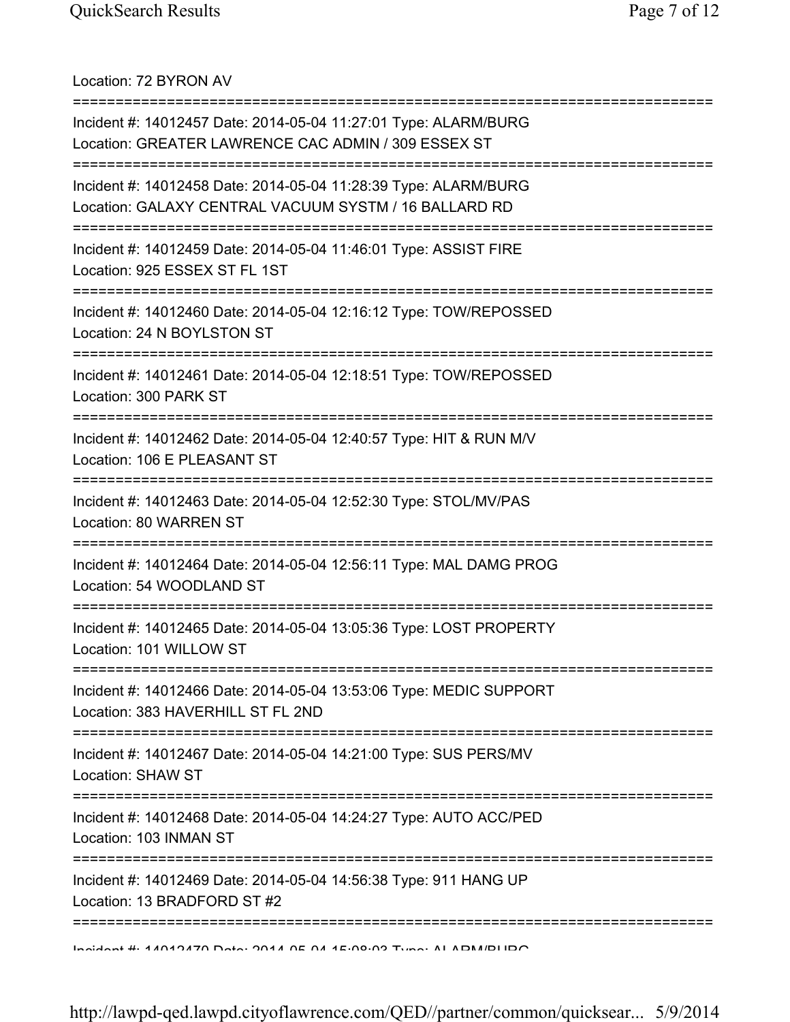Location: 72 BYRON AV

| Incident #: 14012457 Date: 2014-05-04 11:27:01 Type: ALARM/BURG<br>Location: GREATER LAWRENCE CAC ADMIN / 309 ESSEX ST             |
|------------------------------------------------------------------------------------------------------------------------------------|
| Incident #: 14012458 Date: 2014-05-04 11:28:39 Type: ALARM/BURG<br>Location: GALAXY CENTRAL VACUUM SYSTM / 16 BALLARD RD           |
| Incident #: 14012459 Date: 2014-05-04 11:46:01 Type: ASSIST FIRE<br>Location: 925 ESSEX ST FL 1ST                                  |
| Incident #: 14012460 Date: 2014-05-04 12:16:12 Type: TOW/REPOSSED<br>Location: 24 N BOYLSTON ST                                    |
| ;===================================<br>Incident #: 14012461 Date: 2014-05-04 12:18:51 Type: TOW/REPOSSED<br>Location: 300 PARK ST |
| Incident #: 14012462 Date: 2014-05-04 12:40:57 Type: HIT & RUN M/V<br>Location: 106 E PLEASANT ST                                  |
| Incident #: 14012463 Date: 2014-05-04 12:52:30 Type: STOL/MV/PAS<br>Location: 80 WARREN ST                                         |
| Incident #: 14012464 Date: 2014-05-04 12:56:11 Type: MAL DAMG PROG<br>Location: 54 WOODLAND ST                                     |
| Incident #: 14012465 Date: 2014-05-04 13:05:36 Type: LOST PROPERTY<br>Location: 101 WILLOW ST                                      |
| Incident #: 14012466 Date: 2014-05-04 13:53:06 Type: MEDIC SUPPORT<br>Location: 383 HAVERHILL ST FL 2ND                            |
| Incident #: 14012467 Date: 2014-05-04 14:21:00 Type: SUS PERS/MV<br>Location: SHAW ST                                              |
| Incident #: 14012468 Date: 2014-05-04 14:24:27 Type: AUTO ACC/PED<br>Location: 103 INMAN ST                                        |
| Incident #: 14012469 Date: 2014-05-04 14:56:38 Type: 911 HANG UP<br>Location: 13 BRADFORD ST #2                                    |
| DOILIOIAN H. 4 ANA OTA DALA DE NA A LA DOIDO TURNA AL ADAMBLIDO                                                                    |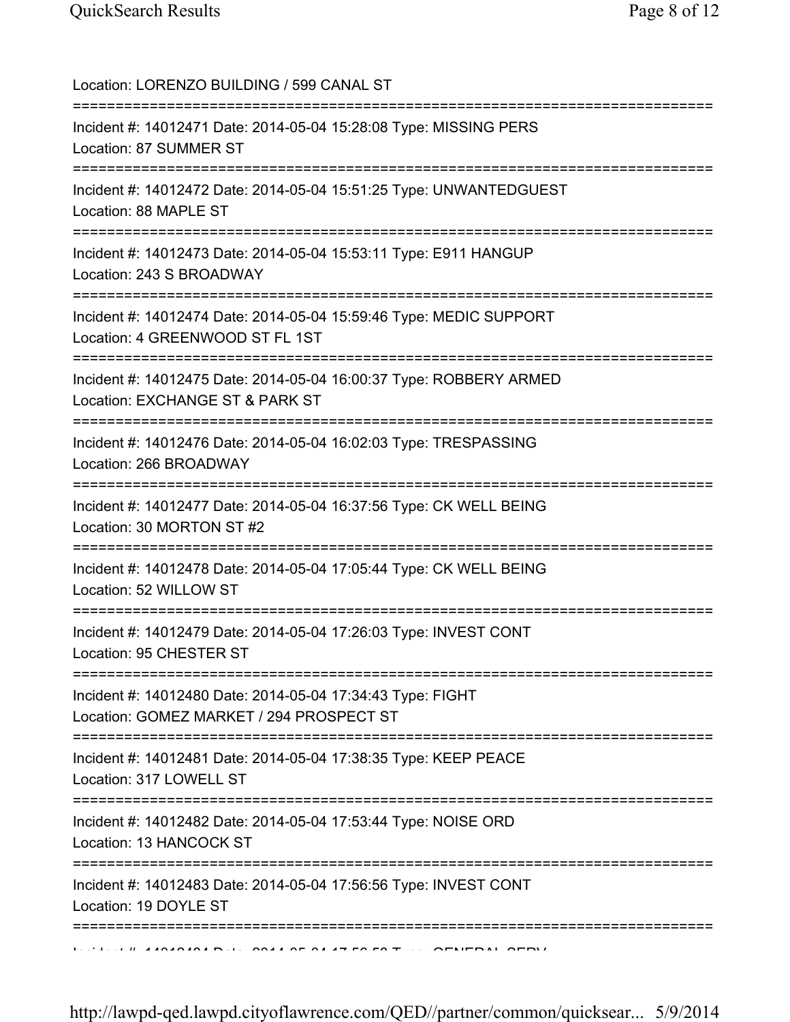| Location: LORENZO BUILDING / 599 CANAL ST<br>====================================                                                                            |
|--------------------------------------------------------------------------------------------------------------------------------------------------------------|
| Incident #: 14012471 Date: 2014-05-04 15:28:08 Type: MISSING PERS<br>Location: 87 SUMMER ST                                                                  |
| Incident #: 14012472 Date: 2014-05-04 15:51:25 Type: UNWANTEDGUEST<br>Location: 88 MAPLE ST                                                                  |
| Incident #: 14012473 Date: 2014-05-04 15:53:11 Type: E911 HANGUP<br>Location: 243 S BROADWAY                                                                 |
| Incident #: 14012474 Date: 2014-05-04 15:59:46 Type: MEDIC SUPPORT<br>Location: 4 GREENWOOD ST FL 1ST                                                        |
| =====================<br>Incident #: 14012475 Date: 2014-05-04 16:00:37 Type: ROBBERY ARMED<br>Location: EXCHANGE ST & PARK ST<br>========================== |
| Incident #: 14012476 Date: 2014-05-04 16:02:03 Type: TRESPASSING<br>Location: 266 BROADWAY                                                                   |
| Incident #: 14012477 Date: 2014-05-04 16:37:56 Type: CK WELL BEING<br>Location: 30 MORTON ST #2                                                              |
| Incident #: 14012478 Date: 2014-05-04 17:05:44 Type: CK WELL BEING<br>Location: 52 WILLOW ST                                                                 |
| Incident #: 14012479 Date: 2014-05-04 17:26:03 Type: INVEST CONT<br>Location: 95 CHESTER ST                                                                  |
| Incident #: 14012480 Date: 2014-05-04 17:34:43 Type: FIGHT<br>Location: GOMEZ MARKET / 294 PROSPECT ST                                                       |
| Incident #: 14012481 Date: 2014-05-04 17:38:35 Type: KEEP PEACE<br>Location: 317 LOWELL ST                                                                   |
| Incident #: 14012482 Date: 2014-05-04 17:53:44 Type: NOISE ORD<br>Location: 13 HANCOCK ST                                                                    |
| Incident #: 14012483 Date: 2014-05-04 17:56:56 Type: INVEST CONT<br>Location: 19 DOYLE ST                                                                    |
|                                                                                                                                                              |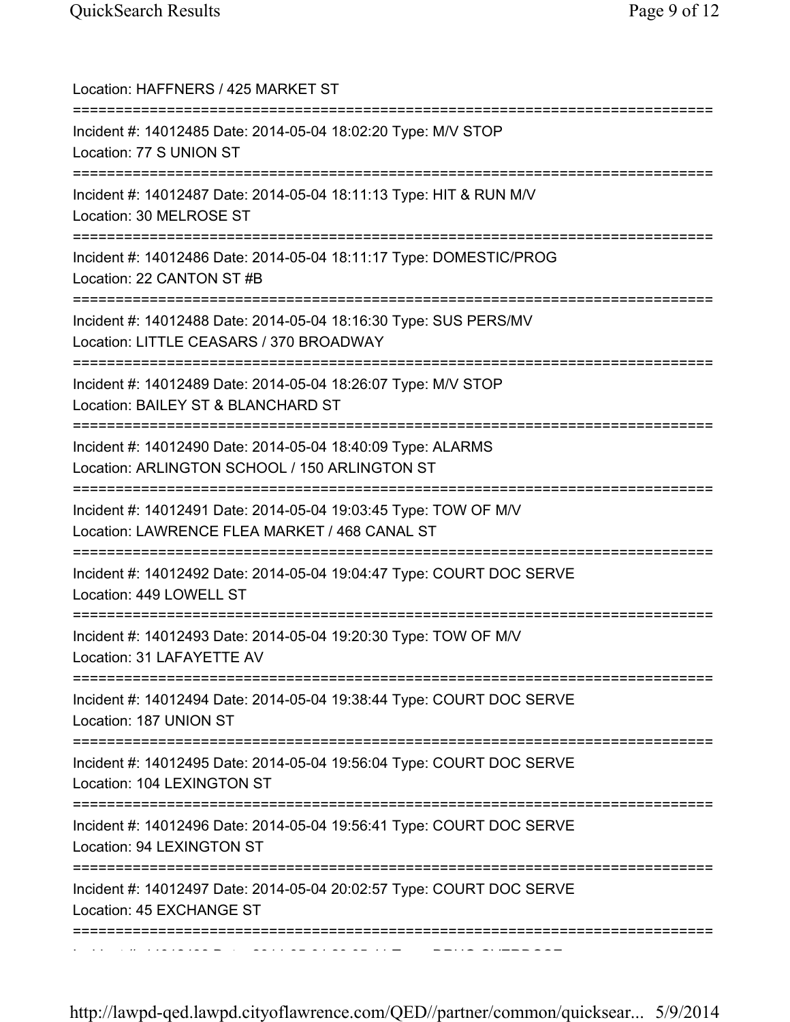| Location: HAFFNERS / 425 MARKET ST<br>:==================                                                                                                |
|----------------------------------------------------------------------------------------------------------------------------------------------------------|
| Incident #: 14012485 Date: 2014-05-04 18:02:20 Type: M/V STOP<br>Location: 77 S UNION ST                                                                 |
| Incident #: 14012487 Date: 2014-05-04 18:11:13 Type: HIT & RUN M/V<br>Location: 30 MELROSE ST                                                            |
| Incident #: 14012486 Date: 2014-05-04 18:11:17 Type: DOMESTIC/PROG<br>Location: 22 CANTON ST #B                                                          |
| Incident #: 14012488 Date: 2014-05-04 18:16:30 Type: SUS PERS/MV<br>Location: LITTLE CEASARS / 370 BROADWAY                                              |
| ==============================<br>Incident #: 14012489 Date: 2014-05-04 18:26:07 Type: M/V STOP<br>Location: BAILEY ST & BLANCHARD ST                    |
| Incident #: 14012490 Date: 2014-05-04 18:40:09 Type: ALARMS<br>Location: ARLINGTON SCHOOL / 150 ARLINGTON ST                                             |
| ====================================<br>Incident #: 14012491 Date: 2014-05-04 19:03:45 Type: TOW OF M/V<br>Location: LAWRENCE FLEA MARKET / 468 CANAL ST |
| ==========================<br>Incident #: 14012492 Date: 2014-05-04 19:04:47 Type: COURT DOC SERVE<br>Location: 449 LOWELL ST                            |
| Incident #: 14012493 Date: 2014-05-04 19:20:30 Type: TOW OF M/V<br>Location: 31 LAFAYETTE AV                                                             |
| Incident #: 14012494 Date: 2014-05-04 19:38:44 Type: COURT DOC SERVE<br>Location: 187 UNION ST                                                           |
| Incident #: 14012495 Date: 2014-05-04 19:56:04 Type: COURT DOC SERVE<br>Location: 104 LEXINGTON ST                                                       |
| Incident #: 14012496 Date: 2014-05-04 19:56:41 Type: COURT DOC SERVE<br>Location: 94 LEXINGTON ST                                                        |
| Incident #: 14012497 Date: 2014-05-04 20:02:57 Type: COURT DOC SERVE<br>Location: 45 EXCHANGE ST                                                         |
|                                                                                                                                                          |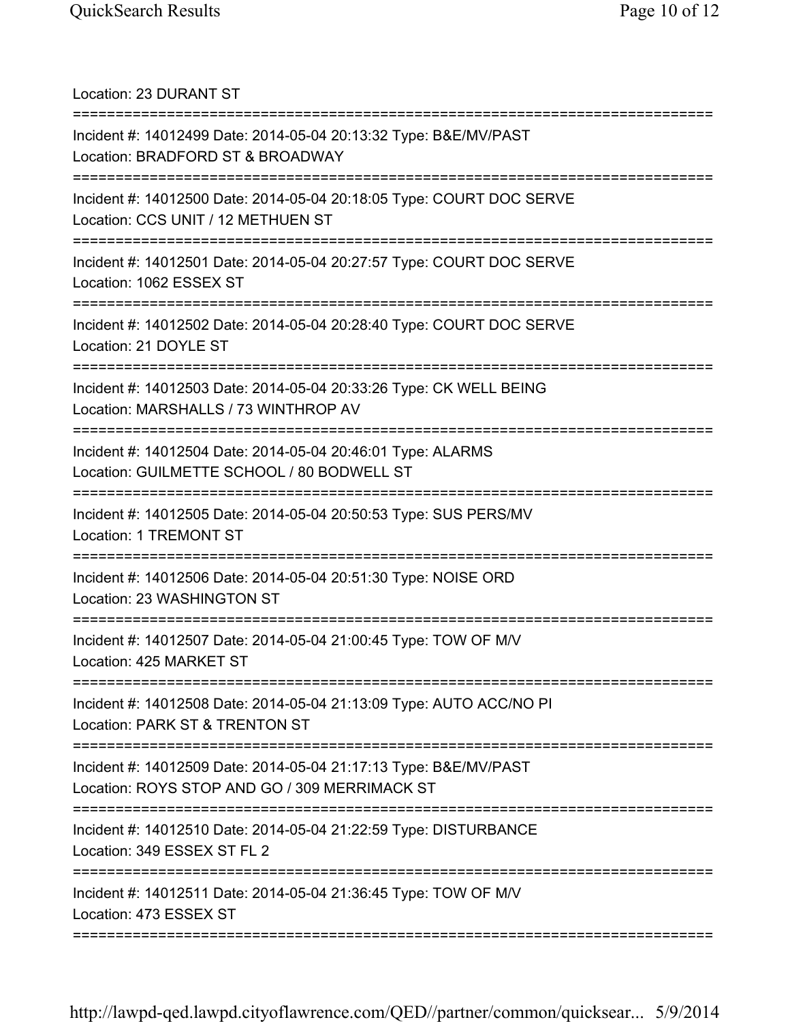Location: 23 DURANT ST =========================================================================== Incident #: 14012499 Date: 2014-05-04 20:13:32 Type: B&E/MV/PAST Location: BRADFORD ST & BROADWAY =========================================================================== Incident #: 14012500 Date: 2014-05-04 20:18:05 Type: COURT DOC SERVE Location: CCS UNIT / 12 METHUEN ST =========================================================================== Incident #: 14012501 Date: 2014-05-04 20:27:57 Type: COURT DOC SERVE Location: 1062 ESSEX ST =========================================================================== Incident #: 14012502 Date: 2014-05-04 20:28:40 Type: COURT DOC SERVE Location: 21 DOYLE ST =========================================================================== Incident #: 14012503 Date: 2014-05-04 20:33:26 Type: CK WELL BEING Location: MARSHALLS / 73 WINTHROP AV =========================================================================== Incident #: 14012504 Date: 2014-05-04 20:46:01 Type: ALARMS Location: GUILMETTE SCHOOL / 80 BODWELL ST =========================================================================== Incident #: 14012505 Date: 2014-05-04 20:50:53 Type: SUS PERS/MV Location: 1 TREMONT ST =========================================================================== Incident #: 14012506 Date: 2014-05-04 20:51:30 Type: NOISE ORD Location: 23 WASHINGTON ST =========================================================================== Incident #: 14012507 Date: 2014-05-04 21:00:45 Type: TOW OF M/V Location: 425 MARKET ST =========================================================================== Incident #: 14012508 Date: 2014-05-04 21:13:09 Type: AUTO ACC/NO PI Location: PARK ST & TRENTON ST =========================================================================== Incident #: 14012509 Date: 2014-05-04 21:17:13 Type: B&E/MV/PAST Location: ROYS STOP AND GO / 309 MERRIMACK ST =========================================================================== Incident #: 14012510 Date: 2014-05-04 21:22:59 Type: DISTURBANCE Location: 349 ESSEX ST FL 2 =========================================================================== Incident #: 14012511 Date: 2014-05-04 21:36:45 Type: TOW OF M/V Location: 473 ESSEX ST ===========================================================================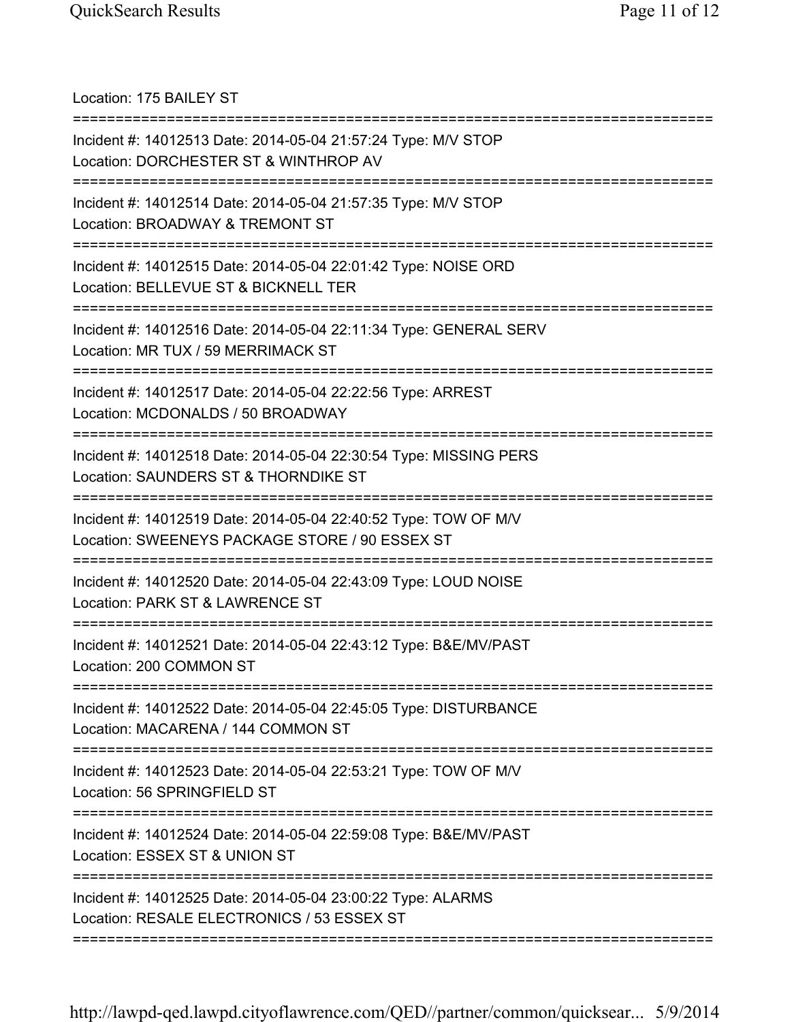| Location: 175 BAILEY ST                                                                                                                          |
|--------------------------------------------------------------------------------------------------------------------------------------------------|
| Incident #: 14012513 Date: 2014-05-04 21:57:24 Type: M/V STOP<br>Location: DORCHESTER ST & WINTHROP AV                                           |
| Incident #: 14012514 Date: 2014-05-04 21:57:35 Type: M/V STOP<br>Location: BROADWAY & TREMONT ST                                                 |
| Incident #: 14012515 Date: 2014-05-04 22:01:42 Type: NOISE ORD<br>Location: BELLEVUE ST & BICKNELL TER                                           |
| Incident #: 14012516 Date: 2014-05-04 22:11:34 Type: GENERAL SERV<br>Location: MR TUX / 59 MERRIMACK ST<br>===================================== |
| Incident #: 14012517 Date: 2014-05-04 22:22:56 Type: ARREST<br>Location: MCDONALDS / 50 BROADWAY                                                 |
| Incident #: 14012518 Date: 2014-05-04 22:30:54 Type: MISSING PERS<br>Location: SAUNDERS ST & THORNDIKE ST                                        |
| Incident #: 14012519 Date: 2014-05-04 22:40:52 Type: TOW OF M/V<br>Location: SWEENEYS PACKAGE STORE / 90 ESSEX ST                                |
| Incident #: 14012520 Date: 2014-05-04 22:43:09 Type: LOUD NOISE<br>Location: PARK ST & LAWRENCE ST                                               |
| Incident #: 14012521 Date: 2014-05-04 22:43:12 Type: B&E/MV/PAST<br>Location: 200 COMMON ST                                                      |
| Incident #: 14012522 Date: 2014-05-04 22:45:05 Type: DISTURBANCE<br>Location: MACARENA / 144 COMMON ST                                           |
| Incident #: 14012523 Date: 2014-05-04 22:53:21 Type: TOW OF M/V<br>Location: 56 SPRINGFIELD ST<br>==============                                 |
| Incident #: 14012524 Date: 2014-05-04 22:59:08 Type: B&E/MV/PAST<br>Location: ESSEX ST & UNION ST<br>=========                                   |
| Incident #: 14012525 Date: 2014-05-04 23:00:22 Type: ALARMS<br>Location: RESALE ELECTRONICS / 53 ESSEX ST                                        |
|                                                                                                                                                  |